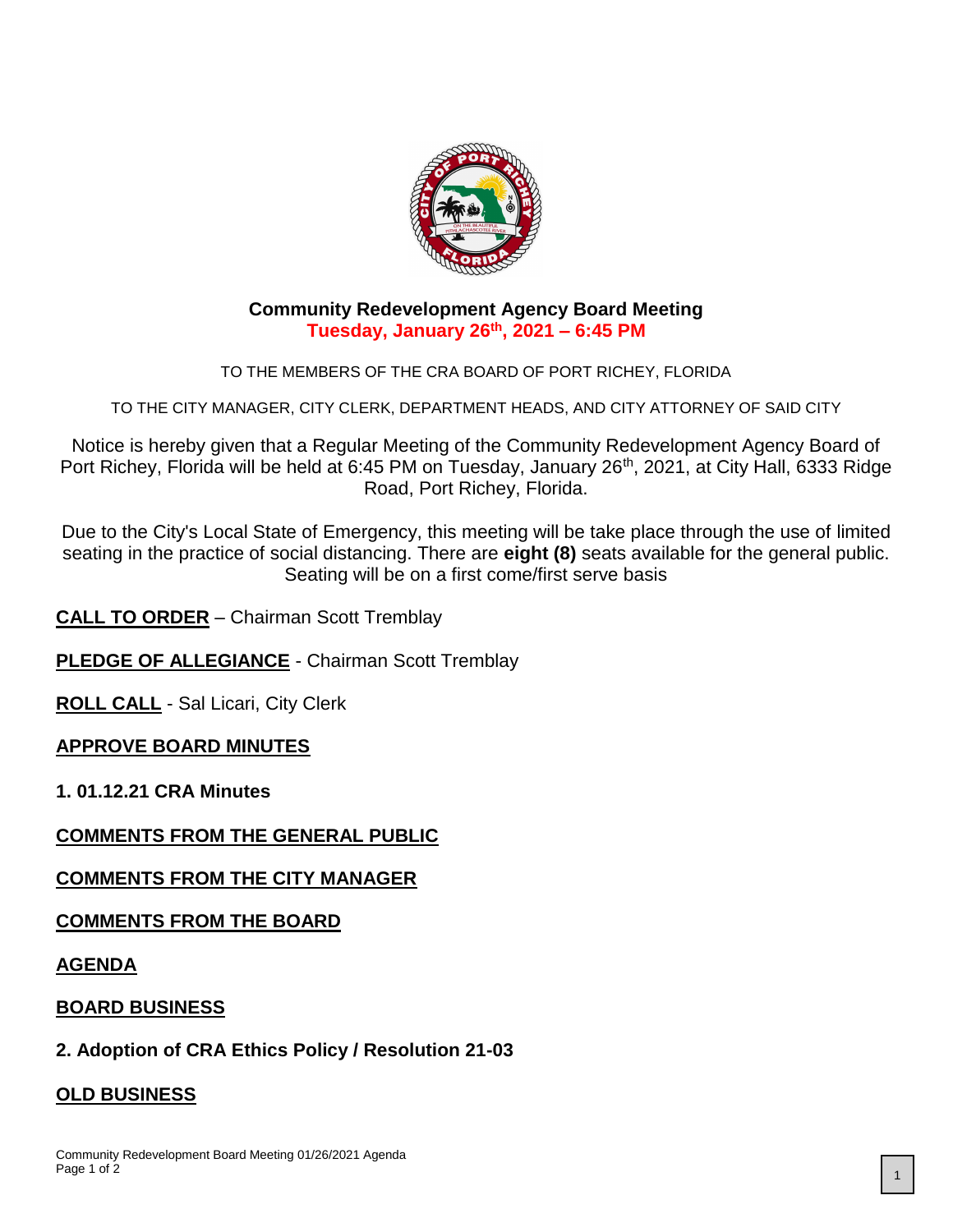

#### **Community Redevelopment Agency Board Meeting Tuesday, January 26th, 2021 – 6:45 PM**

TO THE MEMBERS OF THE CRA BOARD OF PORT RICHEY, FLORIDA

TO THE CITY MANAGER, CITY CLERK, DEPARTMENT HEADS, AND CITY ATTORNEY OF SAID CITY

Notice is hereby given that a Regular Meeting of the Community Redevelopment Agency Board of Port Richey, Florida will be held at 6:45 PM on Tuesday, January 26<sup>th</sup>, 2021, at City Hall, 6333 Ridge Road, Port Richey, Florida.

Due to the City's Local State of Emergency, this meeting will be take place through the use of limited seating in the practice of social distancing. There are **eight (8)** seats available for the general public. Seating will be on a first come/first serve basis

**CALL TO ORDER** – Chairman Scott Tremblay

**PLEDGE OF ALLEGIANCE** - Chairman Scott Tremblay

**ROLL CALL** - Sal Licari, City Clerk

#### **APPROVE BOARD MINUTES**

**1. 01.12.21 CRA Minutes**

#### **COMMENTS FROM THE GENERAL PUBLIC**

#### **COMMENTS FROM THE CITY MANAGER**

#### **COMMENTS FROM THE BOARD**

**AGENDA**

#### **BOARD BUSINESS**

#### **2. Adoption of CRA Ethics Policy / Resolution 21-03**

#### **OLD BUSINESS**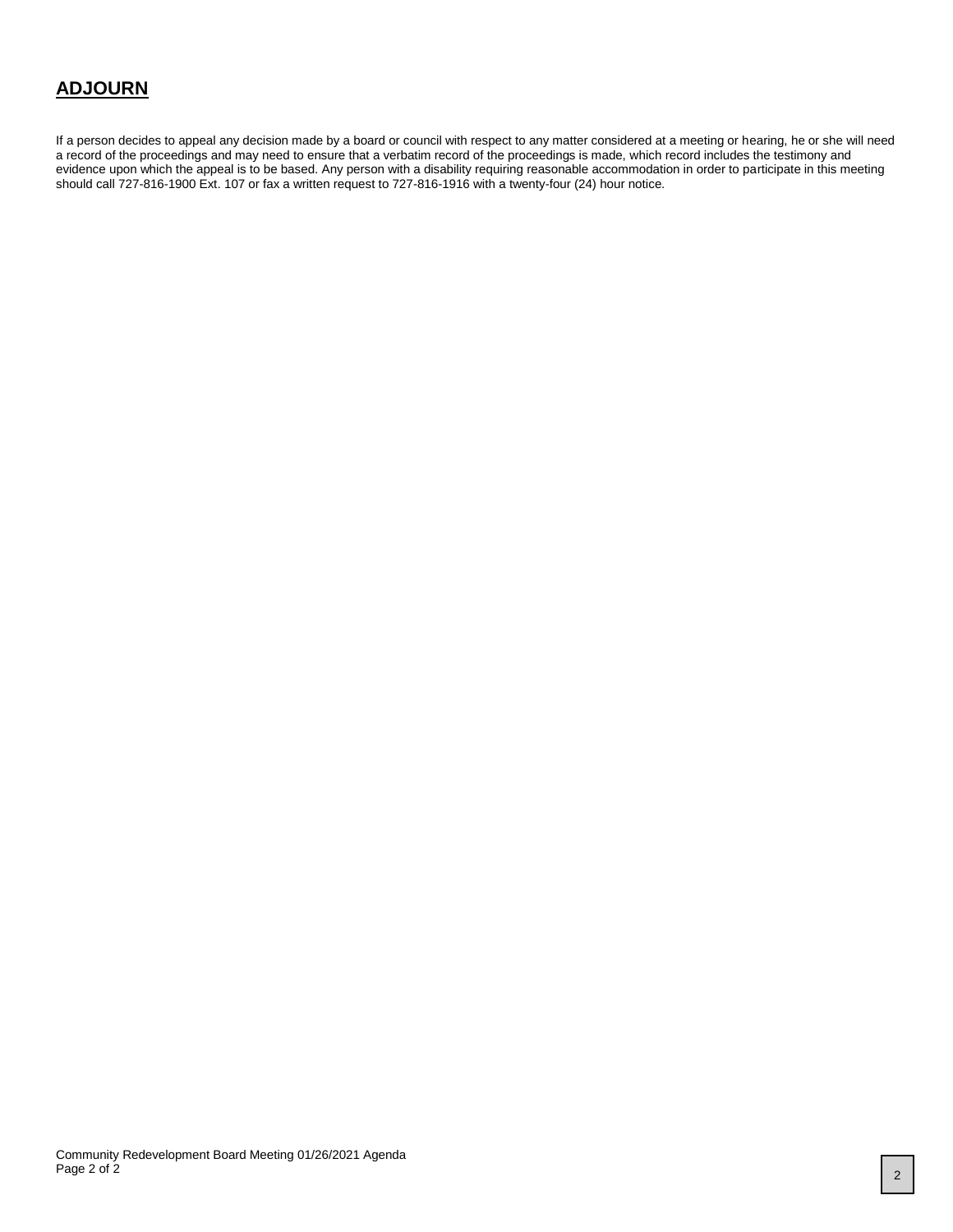#### **ADJOURN**

If a person decides to appeal any decision made by a board or council with respect to any matter considered at a meeting or hearing, he or she will need a record of the proceedings and may need to ensure that a verbatim record of the proceedings is made, which record includes the testimony and evidence upon which the appeal is to be based. Any person with a disability requiring reasonable accommodation in order to participate in this meeting should call 727-816-1900 Ext. 107 or fax a written request to 727-816-1916 with a twenty-four (24) hour notice.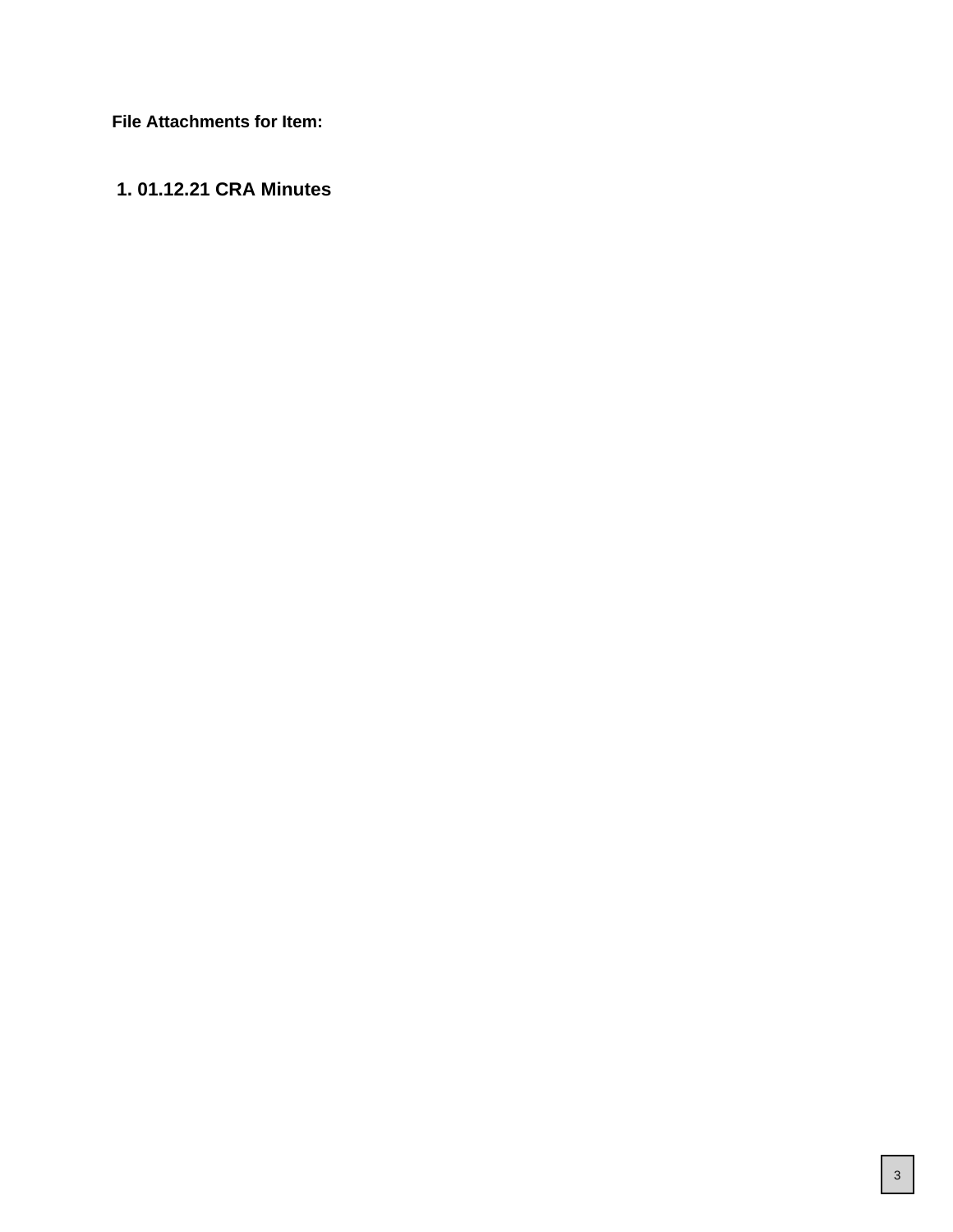**File Attachments for Item:**

#### **1. 01.12.21 CRA Minutes**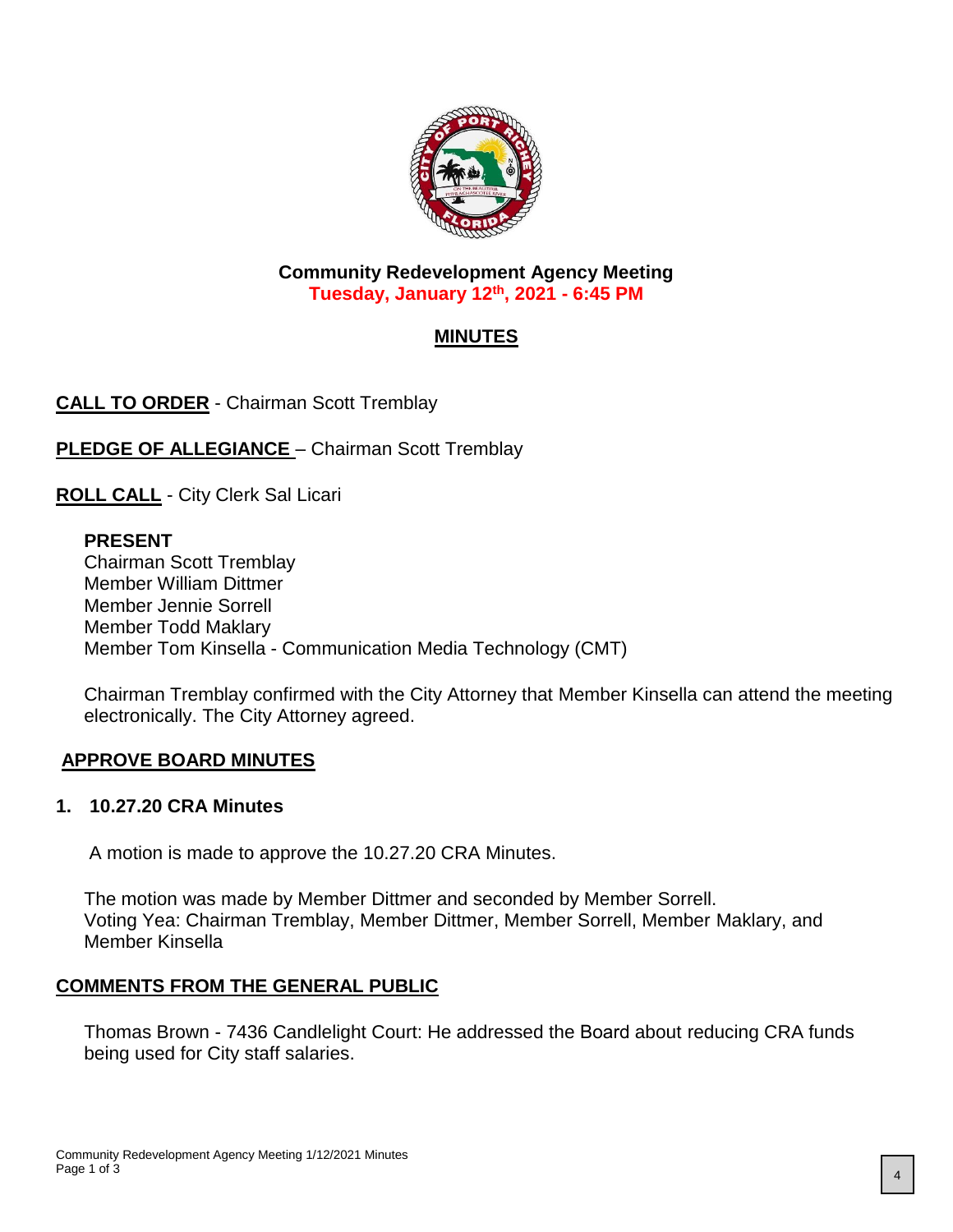

**Community Redevelopment Agency Meeting Tuesday, January 12th, 2021 - 6:45 PM**

#### **MINUTES**

**CALL TO ORDER** - Chairman Scott Tremblay

**PLEDGE OF ALLEGIANCE** – Chairman Scott Tremblay

**ROLL CALL** - City Clerk Sal Licari

#### **PRESENT**

Chairman Scott Tremblay Member William Dittmer Member Jennie Sorrell Member Todd Maklary Member Tom Kinsella - Communication Media Technology (CMT)

Chairman Tremblay confirmed with the City Attorney that Member Kinsella can attend the meeting electronically. The City Attorney agreed.

#### **APPROVE BOARD MINUTES**

#### **1. 10.27.20 CRA Minutes**

A motion is made to approve the 10.27.20 CRA Minutes.

The motion was made by Member Dittmer and seconded by Member Sorrell. Voting Yea: Chairman Tremblay, Member Dittmer, Member Sorrell, Member Maklary, and Member Kinsella

#### **COMMENTS FROM THE GENERAL PUBLIC**

Thomas Brown - 7436 Candlelight Court: He addressed the Board about reducing CRA funds being used for City staff salaries.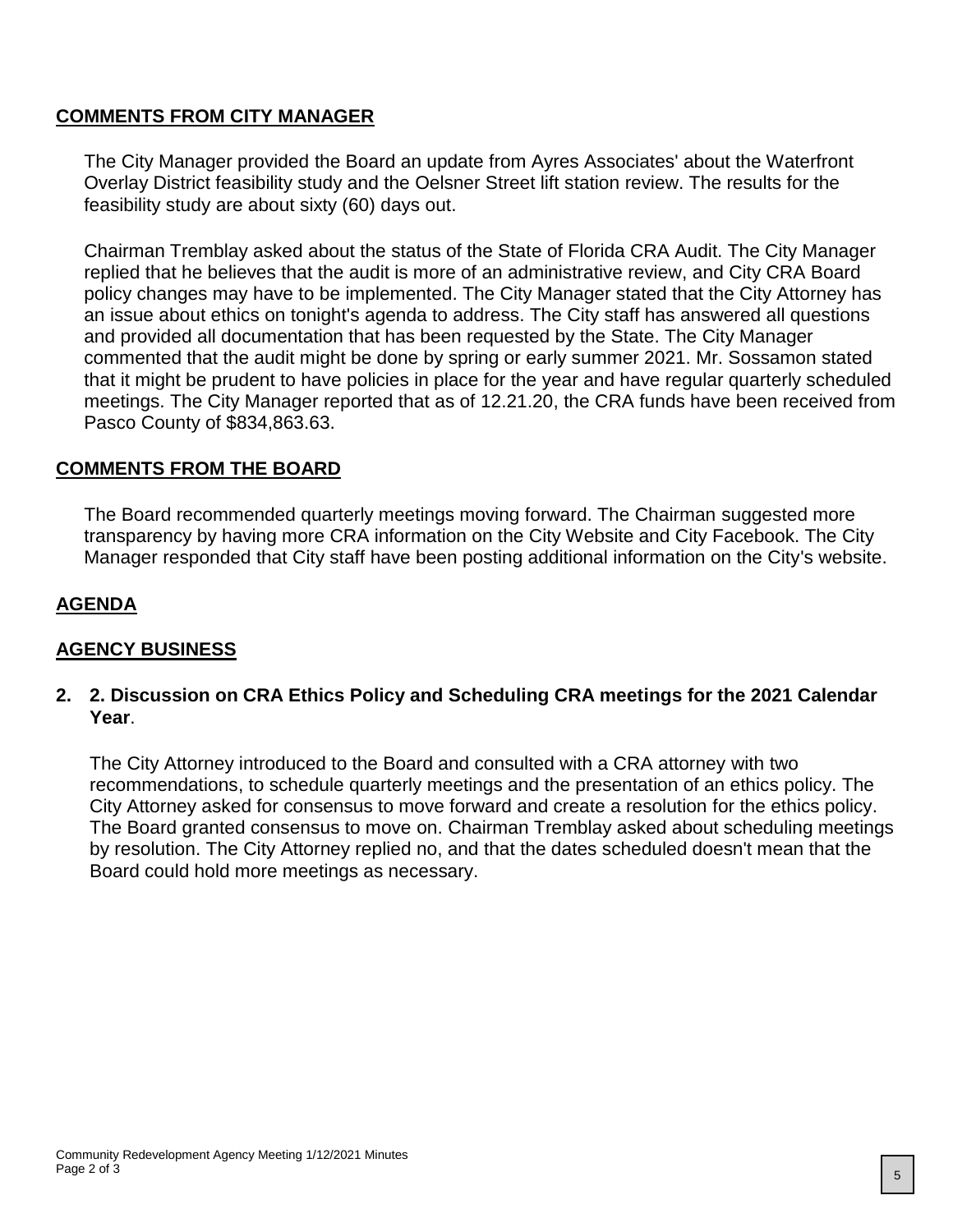#### **COMMENTS FROM CITY MANAGER**

The City Manager provided the Board an update from Ayres Associates' about the Waterfront Overlay District feasibility study and the Oelsner Street lift station review. The results for the feasibility study are about sixty (60) days out.

Chairman Tremblay asked about the status of the State of Florida CRA Audit. The City Manager replied that he believes that the audit is more of an administrative review, and City CRA Board policy changes may have to be implemented. The City Manager stated that the City Attorney has an issue about ethics on tonight's agenda to address. The City staff has answered all questions and provided all documentation that has been requested by the State. The City Manager commented that the audit might be done by spring or early summer 2021. Mr. Sossamon stated that it might be prudent to have policies in place for the year and have regular quarterly scheduled meetings. The City Manager reported that as of 12.21.20, the CRA funds have been received from Pasco County of \$834,863.63.

#### **COMMENTS FROM THE BOARD**

The Board recommended quarterly meetings moving forward. The Chairman suggested more transparency by having more CRA information on the City Website and City Facebook. The City Manager responded that City staff have been posting additional information on the City's website.

#### **AGENDA**

#### **AGENCY BUSINESS**

#### **2. 2. Discussion on CRA Ethics Policy and Scheduling CRA meetings for the 2021 Calendar Year**.

The City Attorney introduced to the Board and consulted with a CRA attorney with two recommendations, to schedule quarterly meetings and the presentation of an ethics policy. The City Attorney asked for consensus to move forward and create a resolution for the ethics policy. The Board granted consensus to move on. Chairman Tremblay asked about scheduling meetings by resolution. The City Attorney replied no, and that the dates scheduled doesn't mean that the Board could hold more meetings as necessary.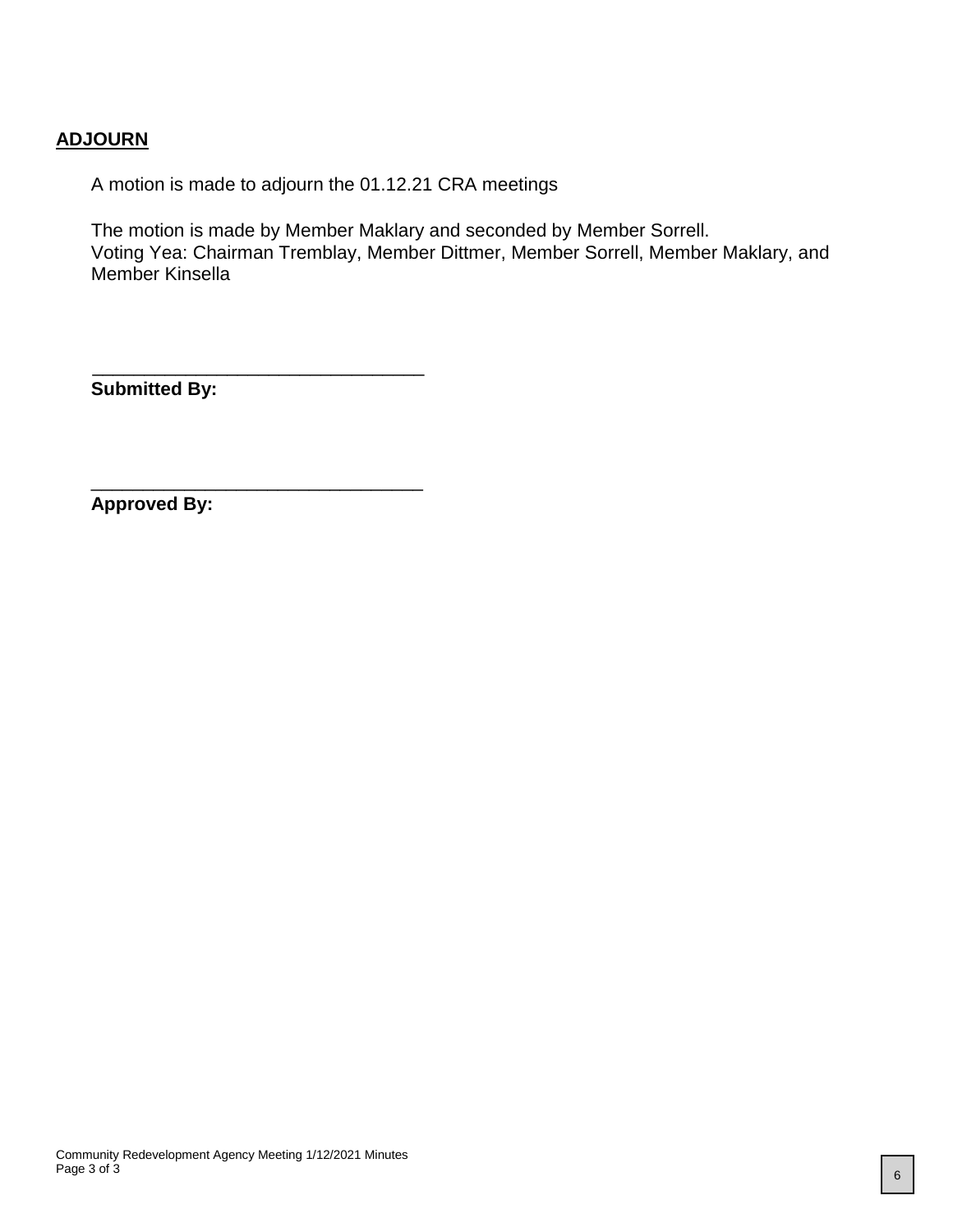#### **ADJOURN**

A motion is made to adjourn the 01.12.21 CRA meetings

The motion is made by Member Maklary and seconded by Member Sorrell. Voting Yea: Chairman Tremblay, Member Dittmer, Member Sorrell, Member Maklary, and Member Kinsella

**Submitted By:**

 $\frac{1}{\sqrt{2}}$  ,  $\frac{1}{\sqrt{2}}$  ,  $\frac{1}{\sqrt{2}}$  ,  $\frac{1}{\sqrt{2}}$  ,  $\frac{1}{\sqrt{2}}$  ,  $\frac{1}{\sqrt{2}}$  ,  $\frac{1}{\sqrt{2}}$  ,  $\frac{1}{\sqrt{2}}$  ,  $\frac{1}{\sqrt{2}}$  ,  $\frac{1}{\sqrt{2}}$  ,  $\frac{1}{\sqrt{2}}$  ,  $\frac{1}{\sqrt{2}}$  ,  $\frac{1}{\sqrt{2}}$  ,  $\frac{1}{\sqrt{2}}$  ,  $\frac{1}{\sqrt{2}}$ 

\_\_\_\_\_\_\_\_\_\_\_\_\_\_\_\_\_\_\_\_\_\_\_\_\_\_\_\_\_\_\_\_

**Approved By:**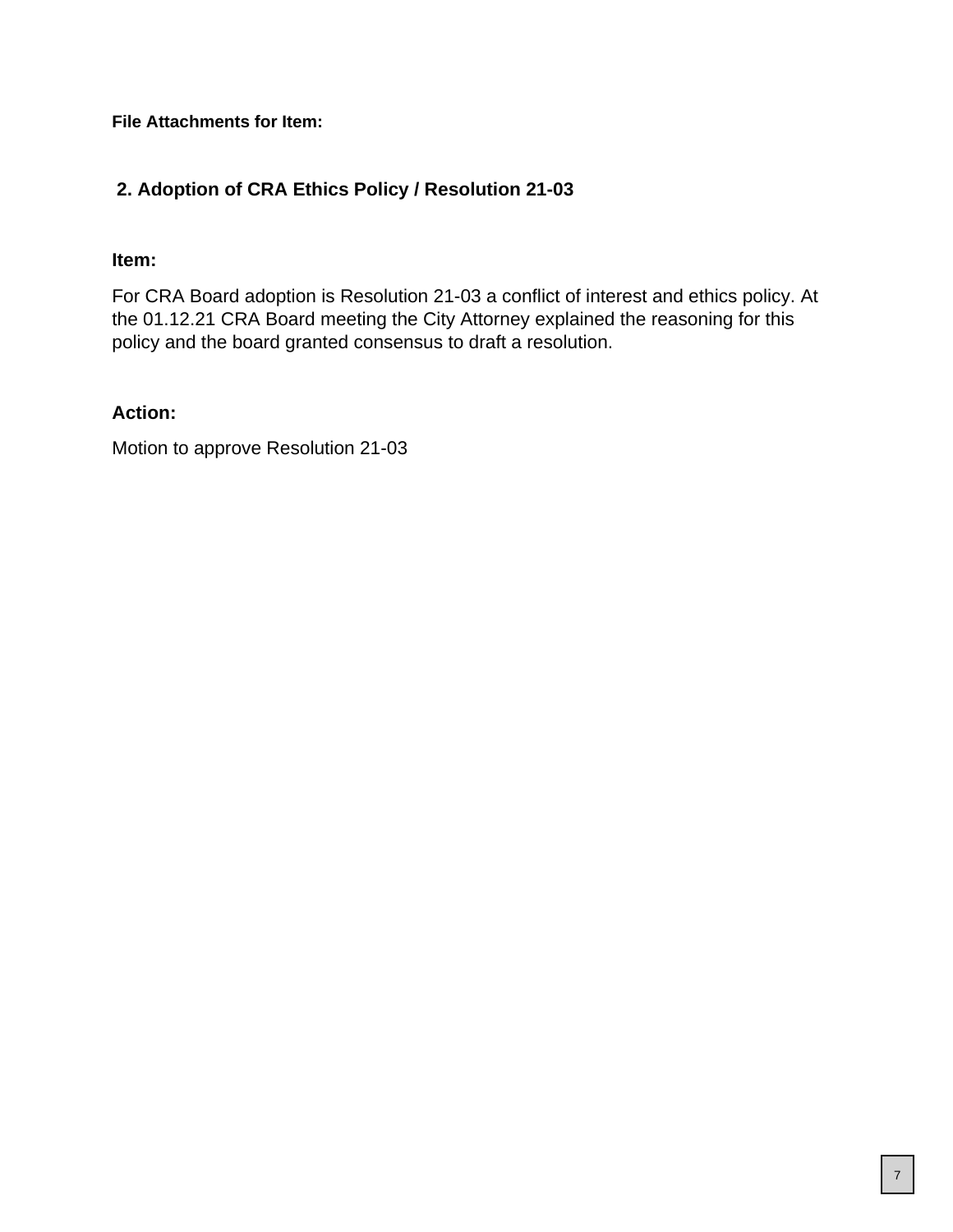**File Attachments for Item:**

#### **2. Adoption of CRA Ethics Policy / Resolution 21-03**

#### **Item:**

For CRA Board adoption is Resolution 21-03 a conflict of interest and ethics policy. At the 01.12.21 CRA Board meeting the City Attorney explained the reasoning for this policy and the board granted consensus to draft a resolution.

#### **Action:**

Motion to approve Resolution 21-03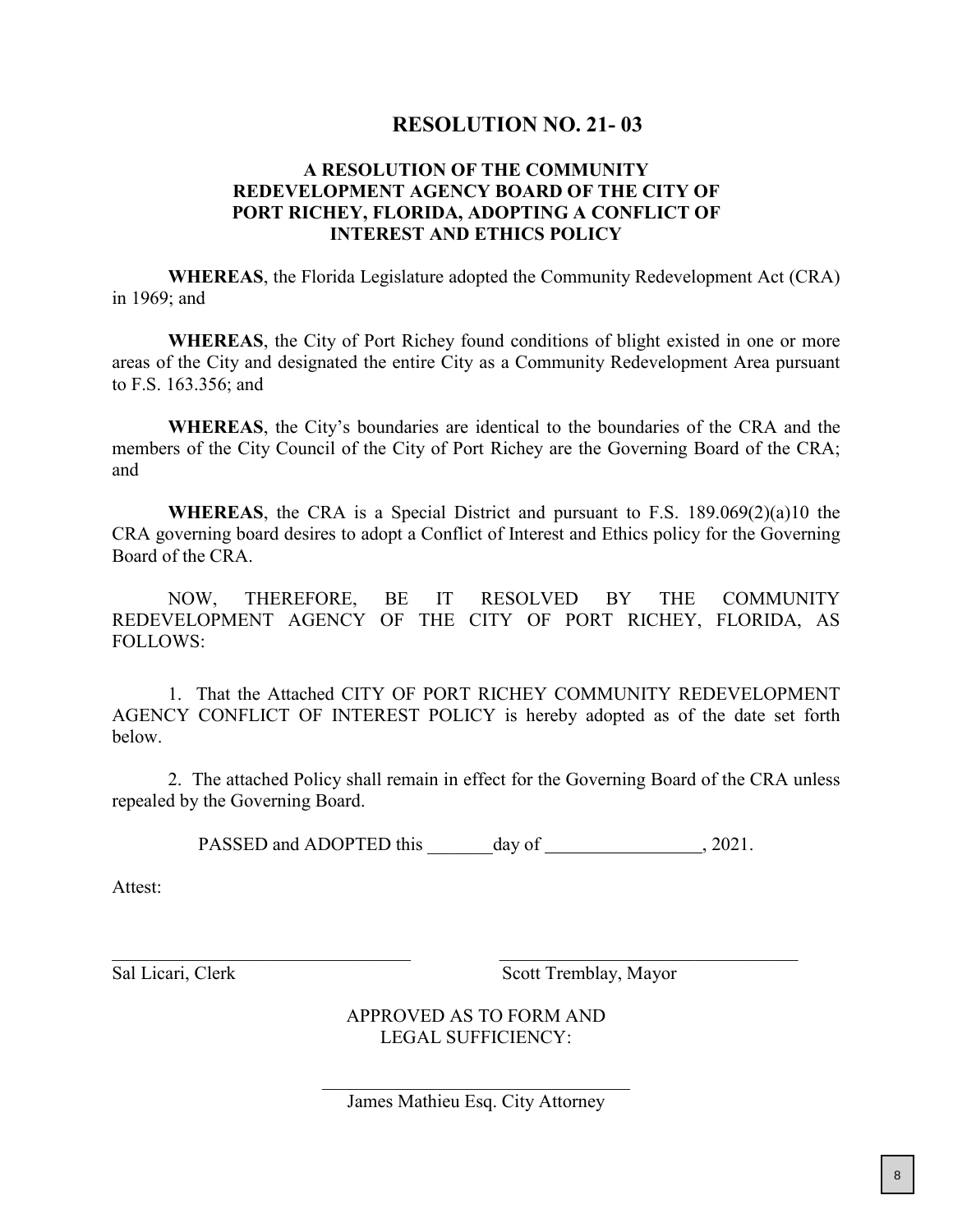#### **RESOLUTION NO. 21- 03**

#### **A RESOLUTION OF THE COMMUNITY REDEVELOPMENT AGENCY BOARD OF THE CITY OF PORT RICHEY, FLORIDA, ADOPTING A CONFLICT OF INTEREST AND ETHICS POLICY**

**WHEREAS**, the Florida Legislature adopted the Community Redevelopment Act (CRA) in 1969; and

**WHEREAS**, the City of Port Richey found conditions of blight existed in one or more areas of the City and designated the entire City as a Community Redevelopment Area pursuant to F.S. 163.356; and

**WHEREAS**, the City's boundaries are identical to the boundaries of the CRA and the members of the City Council of the City of Port Richey are the Governing Board of the CRA; and

**WHEREAS**, the CRA is a Special District and pursuant to F.S. 189.069(2)(a)10 the CRA governing board desires to adopt a Conflict of Interest and Ethics policy for the Governing Board of the CRA.

NOW, THEREFORE, BE IT RESOLVED BY THE COMMUNITY REDEVELOPMENT AGENCY OF THE CITY OF PORT RICHEY, FLORIDA, AS FOLLOWS:

1. That the Attached CITY OF PORT RICHEY COMMUNITY REDEVELOPMENT AGENCY CONFLICT OF INTEREST POLICY is hereby adopted as of the date set forth below.

2. The attached Policy shall remain in effect for the Governing Board of the CRA unless repealed by the Governing Board.

PASSED and ADOPTED this \_\_\_\_\_\_\_day of , 2021.

Attest:

Sal Licari, Clerk Scott Tremblay, Mayor

APPROVED AS TO FORM AND LEGAL SUFFICIENCY:

 $\mathcal{L}_\mathcal{L}$  , where  $\mathcal{L}_\mathcal{L}$  , we are the set of the set of the set of the set of the set of the set of the set of the set of the set of the set of the set of the set of the set of the set of the set of the set o James Mathieu Esq. City Attorney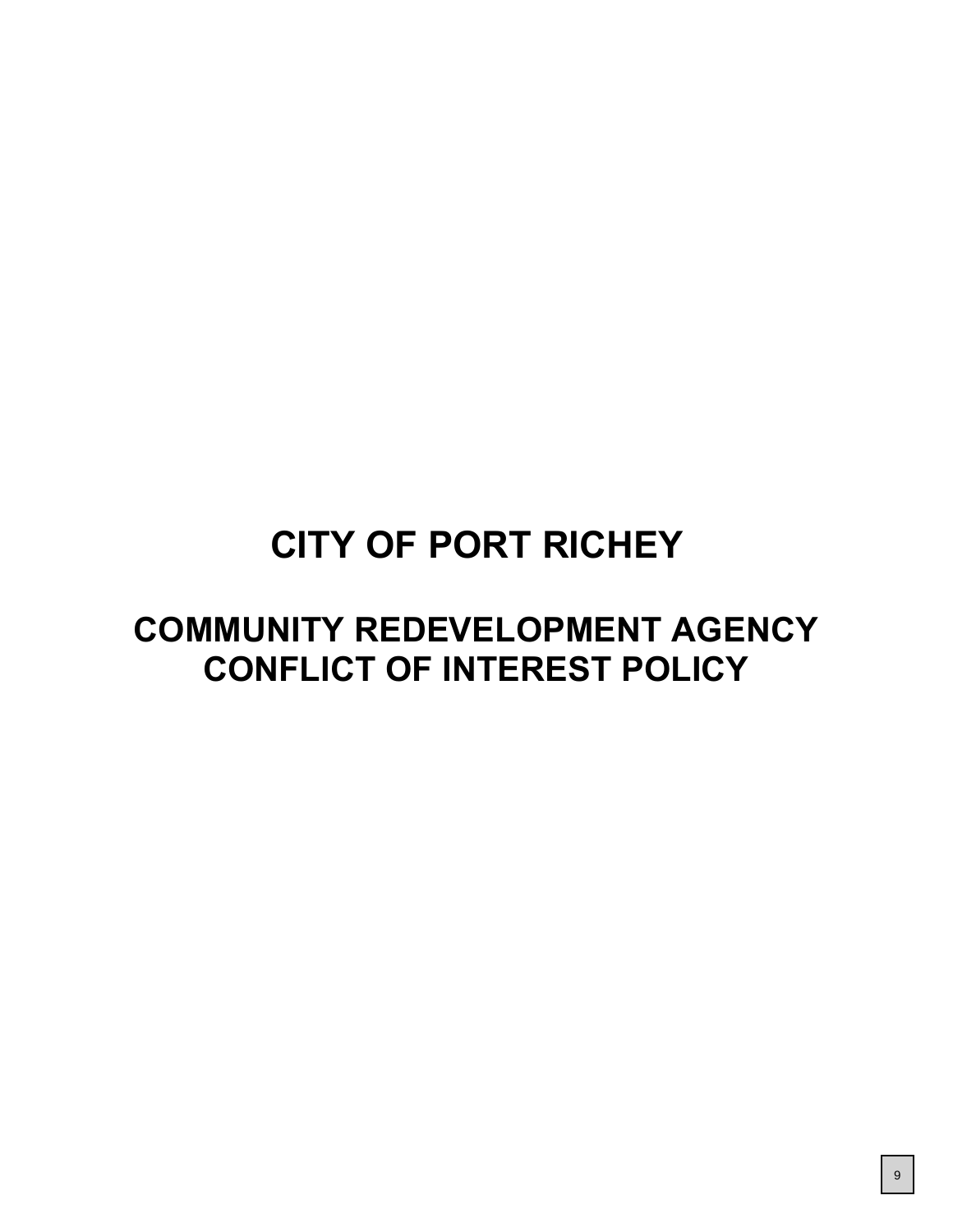# **CITY OF PORT RICHEY**

# **COMMUNITY REDEVELOPMENT AGENCY CONFLICT OF INTEREST POLICY**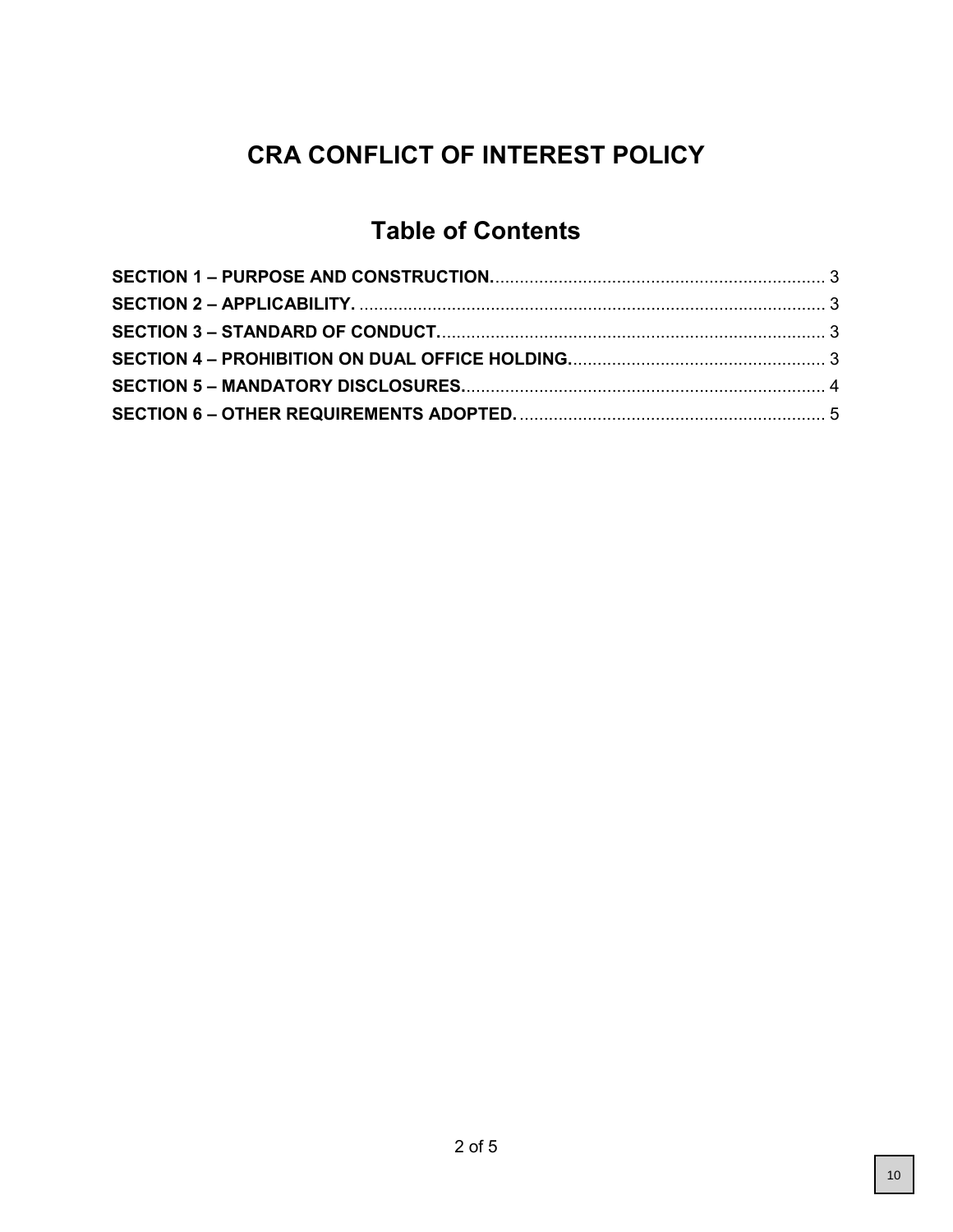# **CRA CONFLICT OF INTEREST POLICY**

# **Table of Contents**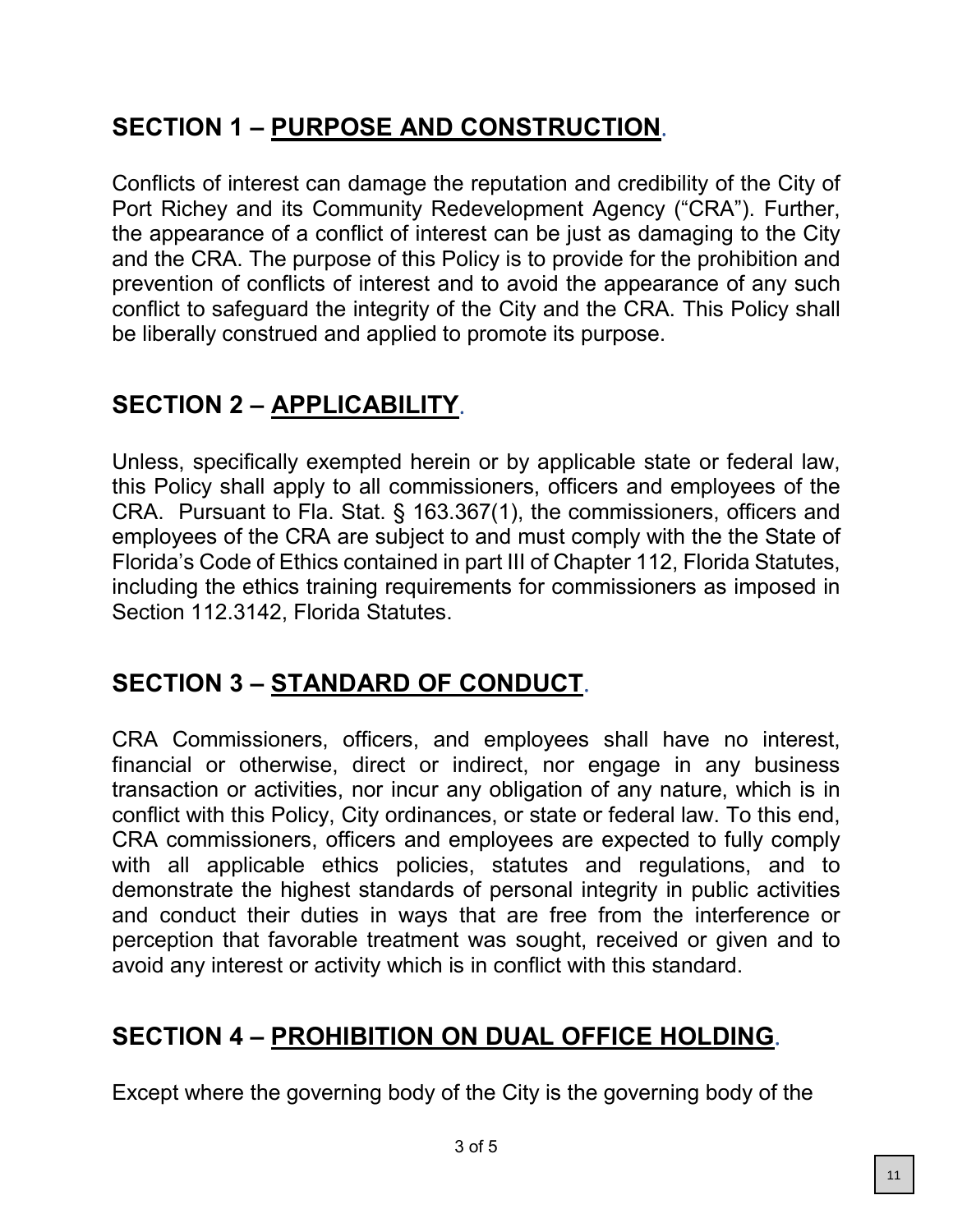# **SECTION 1 – PURPOSE AND CONSTRUCTION**.

Conflicts of interest can damage the reputation and credibility of the City of Port Richey and its Community Redevelopment Agency ("CRA"). Further, the appearance of a conflict of interest can be just as damaging to the City and the CRA. The purpose of this Policy is to provide for the prohibition and prevention of conflicts of interest and to avoid the appearance of any such conflict to safeguard the integrity of the City and the CRA. This Policy shall be liberally construed and applied to promote its purpose.

# **SECTION 2 – APPLICABILITY**.

Unless, specifically exempted herein or by applicable state or federal law, this Policy shall apply to all commissioners, officers and employees of the CRA. Pursuant to Fla. Stat. § 163.367(1), the commissioners, officers and employees of the CRA are subject to and must comply with the the State of Florida's Code of Ethics contained in part III of Chapter 112, Florida Statutes, including the ethics training requirements for commissioners as imposed in Section 112.3142, Florida Statutes.

## **SECTION 3 – STANDARD OF CONDUCT**.

CRA Commissioners, officers, and employees shall have no interest, financial or otherwise, direct or indirect, nor engage in any business transaction or activities, nor incur any obligation of any nature, which is in conflict with this Policy, City ordinances, or state or federal law. To this end, CRA commissioners, officers and employees are expected to fully comply with all applicable ethics policies, statutes and regulations, and to demonstrate the highest standards of personal integrity in public activities and conduct their duties in ways that are free from the interference or perception that favorable treatment was sought, received or given and to avoid any interest or activity which is in conflict with this standard.

## **SECTION 4 – PROHIBITION ON DUAL OFFICE HOLDING**.

Except where the governing body of the City is the governing body of the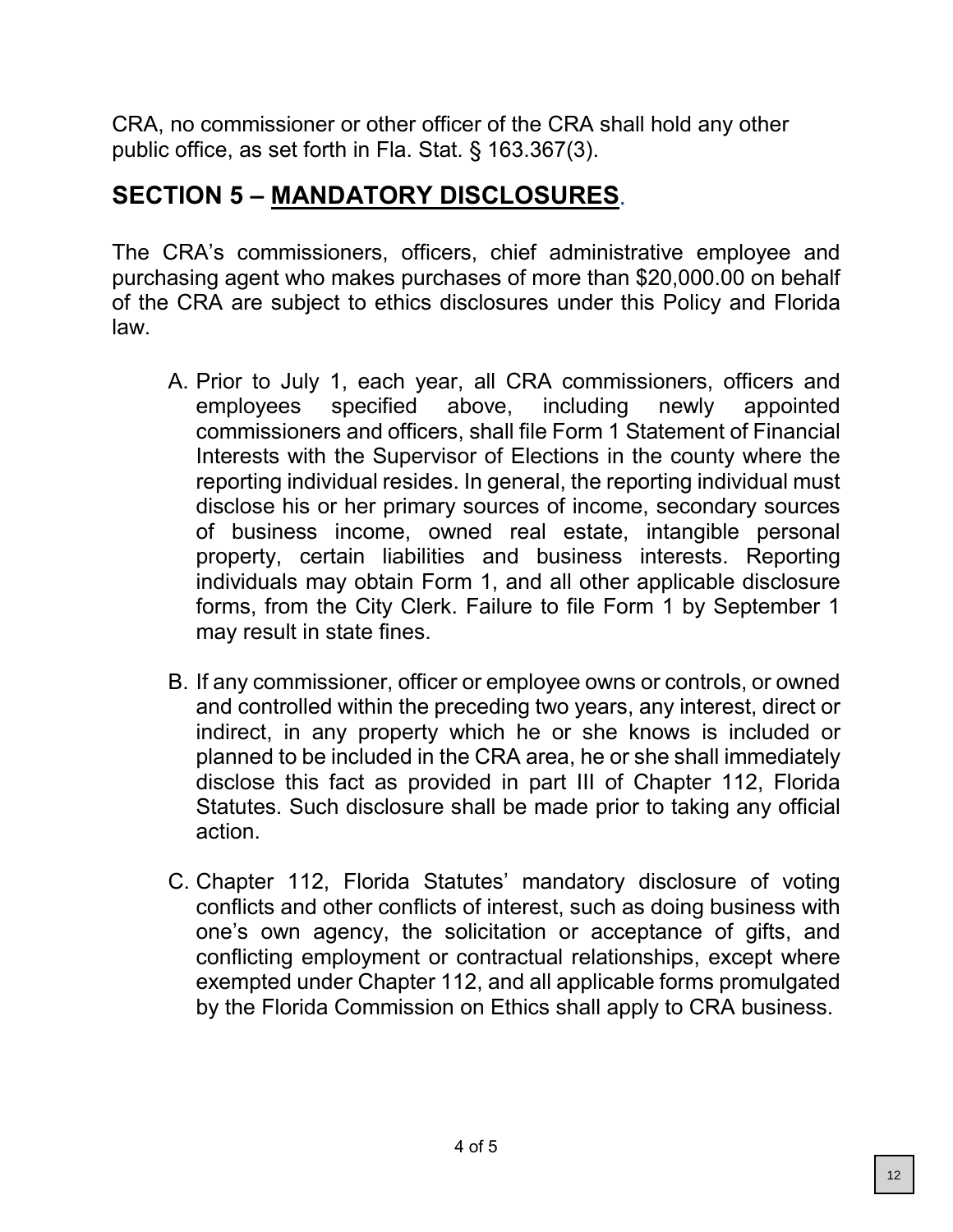CRA, no commissioner or other officer of the CRA shall hold any other public office, as set forth in Fla. Stat. § 163.367(3).

## **SECTION 5 – MANDATORY DISCLOSURES**.

The CRA's commissioners, officers, chief administrative employee and purchasing agent who makes purchases of more than \$20,000.00 on behalf of the CRA are subject to ethics disclosures under this Policy and Florida law.

- A. Prior to July 1, each year, all CRA commissioners, officers and employees specified above, including newly appointed commissioners and officers, shall file Form 1 Statement of Financial Interests with the Supervisor of Elections in the county where the reporting individual resides. In general, the reporting individual must disclose his or her primary sources of income, secondary sources of business income, owned real estate, intangible personal property, certain liabilities and business interests. Reporting individuals may obtain Form 1, and all other applicable disclosure forms, from the City Clerk. Failure to file Form 1 by September 1 may result in state fines.
- B. If any commissioner, officer or employee owns or controls, or owned and controlled within the preceding two years, any interest, direct or indirect, in any property which he or she knows is included or planned to be included in the CRA area, he or she shall immediately disclose this fact as provided in part III of Chapter 112, Florida Statutes. Such disclosure shall be made prior to taking any official action.
- C. Chapter 112, Florida Statutes' mandatory disclosure of voting conflicts and other conflicts of interest, such as doing business with one's own agency, the solicitation or acceptance of gifts, and conflicting employment or contractual relationships, except where exempted under Chapter 112, and all applicable forms promulgated by the Florida Commission on Ethics shall apply to CRA business.